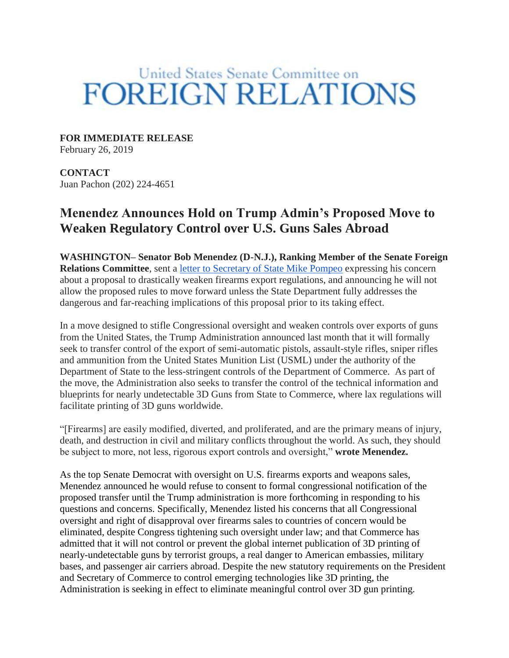# United States Senate Committee on **FOREIGN RELATIONS**

**FOR IMMEDIATE RELEASE**

February 26, 2019

**CONTACT** Juan Pachon (202) 224-4651

## **Menendez Announces Hold on Trump Admin's Proposed Move to Weaken Regulatory Control over U.S. Guns Sales Abroad**

**WASHINGTON– Senator Bob Menendez (D-N.J.), Ranking Member of the Senate Foreign Relations Committee**, sent a [letter to Secretary of State Mike Pompeo](https://amend.senate.gov/content/library/files/item/?id=62B04063-F44D-426E-A124-6B794BFC74E6) expressing his concern about a proposal to drastically weaken firearms export regulations, and announcing he will not allow the proposed rules to move forward unless the State Department fully addresses the dangerous and far-reaching implications of this proposal prior to its taking effect.

In a move designed to stifle Congressional oversight and weaken controls over exports of guns from the United States, the Trump Administration announced last month that it will formally seek to transfer control of the export of semi-automatic pistols, assault-style rifles, sniper rifles and ammunition from the United States Munition List (USML) under the authority of the Department of State to the less-stringent controls of the Department of Commerce. As part of the move, the Administration also seeks to transfer the control of the technical information and blueprints for nearly undetectable 3D Guns from State to Commerce, where lax regulations will facilitate printing of 3D guns worldwide.

"[Firearms] are easily modified, diverted, and proliferated, and are the primary means of injury, death, and destruction in civil and military conflicts throughout the world. As such, they should be subject to more, not less, rigorous export controls and oversight," **wrote Menendez.**

As the top Senate Democrat with oversight on U.S. firearms exports and weapons sales, Menendez announced he would refuse to consent to formal congressional notification of the proposed transfer until the Trump administration is more forthcoming in responding to his questions and concerns. Specifically, Menendez listed his concerns that all Congressional oversight and right of disapproval over firearms sales to countries of concern would be eliminated, despite Congress tightening such oversight under law; and that Commerce has admitted that it will not control or prevent the global internet publication of 3D printing of nearly-undetectable guns by terrorist groups, a real danger to American embassies, military bases, and passenger air carriers abroad. Despite the new statutory requirements on the President and Secretary of Commerce to control emerging technologies like 3D printing, the Administration is seeking in effect to eliminate meaningful control over 3D gun printing.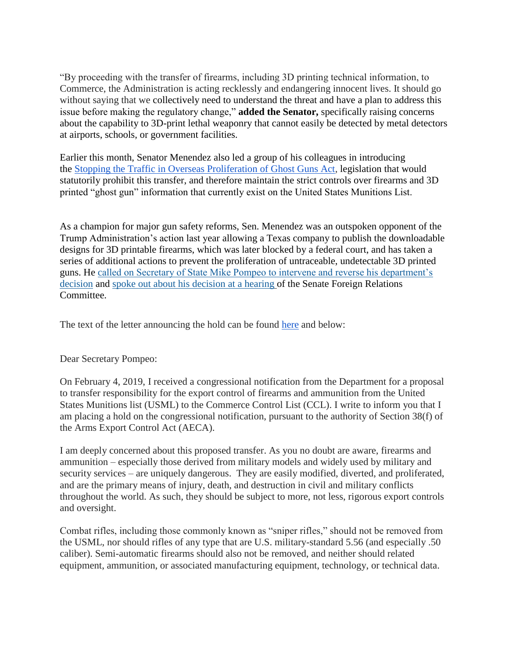"By proceeding with the transfer of firearms, including 3D printing technical information, to Commerce, the Administration is acting recklessly and endangering innocent lives. It should go without saying that we collectively need to understand the threat and have a plan to address this issue before making the regulatory change," **added the Senator,** specifically raising concerns about the capability to 3D-print lethal weaponry that cannot easily be detected by metal detectors at airports, schools, or government facilities.

Earlier this month, Senator Menendez also led a group of his colleagues in introducing the [Stopping the Traffic in Overseas Proliferation of Ghost Guns Act,](https://www.foreign.senate.gov/press/ranking/release/menendez-colleagues-introduce-bill-to-block-trump-admin-push-to-allow-unfettered-proliferation-of-untraceable-3d-printable-guns-weaken-controls-over-foreign-arms-sales-) legislation that would statutorily prohibit this transfer, and therefore maintain the strict controls over firearms and 3D printed "ghost gun" information that currently exist on the United States Munitions List.

As a champion for major gun safety reforms, Sen. Menendez was an outspoken opponent of the Trump Administration's action last year allowing a Texas company to publish the downloadable designs for 3D printable firearms, which was later blocked by a federal court, and has taken a series of additional actions to prevent the proliferation of untraceable, undetectable 3D printed guns. He [called on Secretary of State Mike Pompeo to intervene and reverse his department's](https://www.menendez.senate.gov/news-and-events/press/menendez-calls-on-secretary-pompeo-to-stop-online-posting-of-do-it-yourself-3-d-printable-gun-blueprints)  [decision](https://www.menendez.senate.gov/news-and-events/press/menendez-calls-on-secretary-pompeo-to-stop-online-posting-of-do-it-yourself-3-d-printable-gun-blueprints) and [spoke out about his decision at a hearing](https://www.menendez.senate.gov/news-and-events/press/video-release-menendez-remarks-and-questions-at-sfrc-hearing-with-sec-pompeo-) of the Senate Foreign Relations Committee.

The text of the letter announcing the hold can be found [here](https://amend.senate.gov/content/library/files/item/?id=62B04063-F44D-426E-A124-6B794BFC74E6) and below:

#### Dear Secretary Pompeo:

On February 4, 2019, I received a congressional notification from the Department for a proposal to transfer responsibility for the export control of firearms and ammunition from the United States Munitions list (USML) to the Commerce Control List (CCL). I write to inform you that I am placing a hold on the congressional notification, pursuant to the authority of Section 38(f) of the Arms Export Control Act (AECA).

I am deeply concerned about this proposed transfer. As you no doubt are aware, firearms and ammunition – especially those derived from military models and widely used by military and security services – are uniquely dangerous. They are easily modified, diverted, and proliferated, and are the primary means of injury, death, and destruction in civil and military conflicts throughout the world. As such, they should be subject to more, not less, rigorous export controls and oversight.

Combat rifles, including those commonly known as "sniper rifles," should not be removed from the USML, nor should rifles of any type that are U.S. military-standard 5.56 (and especially .50 caliber). Semi-automatic firearms should also not be removed, and neither should related equipment, ammunition, or associated manufacturing equipment, technology, or technical data.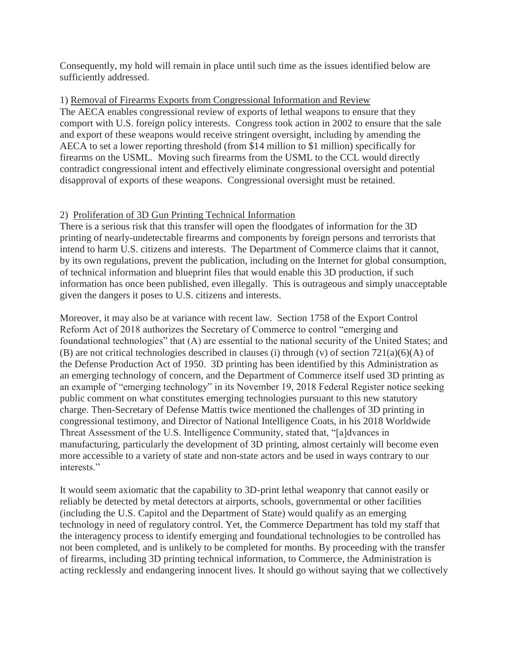Consequently, my hold will remain in place until such time as the issues identified below are sufficiently addressed.

#### 1) Removal of Firearms Exports from Congressional Information and Review

The AECA enables congressional review of exports of lethal weapons to ensure that they comport with U.S. foreign policy interests. Congress took action in 2002 to ensure that the sale and export of these weapons would receive stringent oversight, including by amending the AECA to set a lower reporting threshold (from \$14 million to \$1 million) specifically for firearms on the USML. Moving such firearms from the USML to the CCL would directly contradict congressional intent and effectively eliminate congressional oversight and potential disapproval of exports of these weapons. Congressional oversight must be retained.

### 2) Proliferation of 3D Gun Printing Technical Information

There is a serious risk that this transfer will open the floodgates of information for the 3D printing of nearly-undetectable firearms and components by foreign persons and terrorists that intend to harm U.S. citizens and interests. The Department of Commerce claims that it cannot, by its own regulations, prevent the publication, including on the Internet for global consumption, of technical information and blueprint files that would enable this 3D production, if such information has once been published, even illegally. This is outrageous and simply unacceptable given the dangers it poses to U.S. citizens and interests.

Moreover, it may also be at variance with recent law. Section 1758 of the Export Control Reform Act of 2018 authorizes the Secretary of Commerce to control "emerging and foundational technologies" that (A) are essential to the national security of the United States; and (B) are not critical technologies described in clauses (i) through (v) of section 721(a)(6)(A) of the Defense Production Act of 1950. 3D printing has been identified by this Administration as an emerging technology of concern, and the Department of Commerce itself used 3D printing as an example of "emerging technology" in its November 19, 2018 Federal Register notice seeking public comment on what constitutes emerging technologies pursuant to this new statutory charge. Then-Secretary of Defense Mattis twice mentioned the challenges of 3D printing in congressional testimony, and Director of National Intelligence Coats, in his 2018 Worldwide Threat Assessment of the U.S. Intelligence Community, stated that, "[a]dvances in manufacturing, particularly the development of 3D printing, almost certainly will become even more accessible to a variety of state and non-state actors and be used in ways contrary to our interests."

It would seem axiomatic that the capability to 3D-print lethal weaponry that cannot easily or reliably be detected by metal detectors at airports, schools, governmental or other facilities (including the U.S. Capitol and the Department of State) would qualify as an emerging technology in need of regulatory control. Yet, the Commerce Department has told my staff that the interagency process to identify emerging and foundational technologies to be controlled has not been completed, and is unlikely to be completed for months. By proceeding with the transfer of firearms, including 3D printing technical information, to Commerce, the Administration is acting recklessly and endangering innocent lives. It should go without saying that we collectively